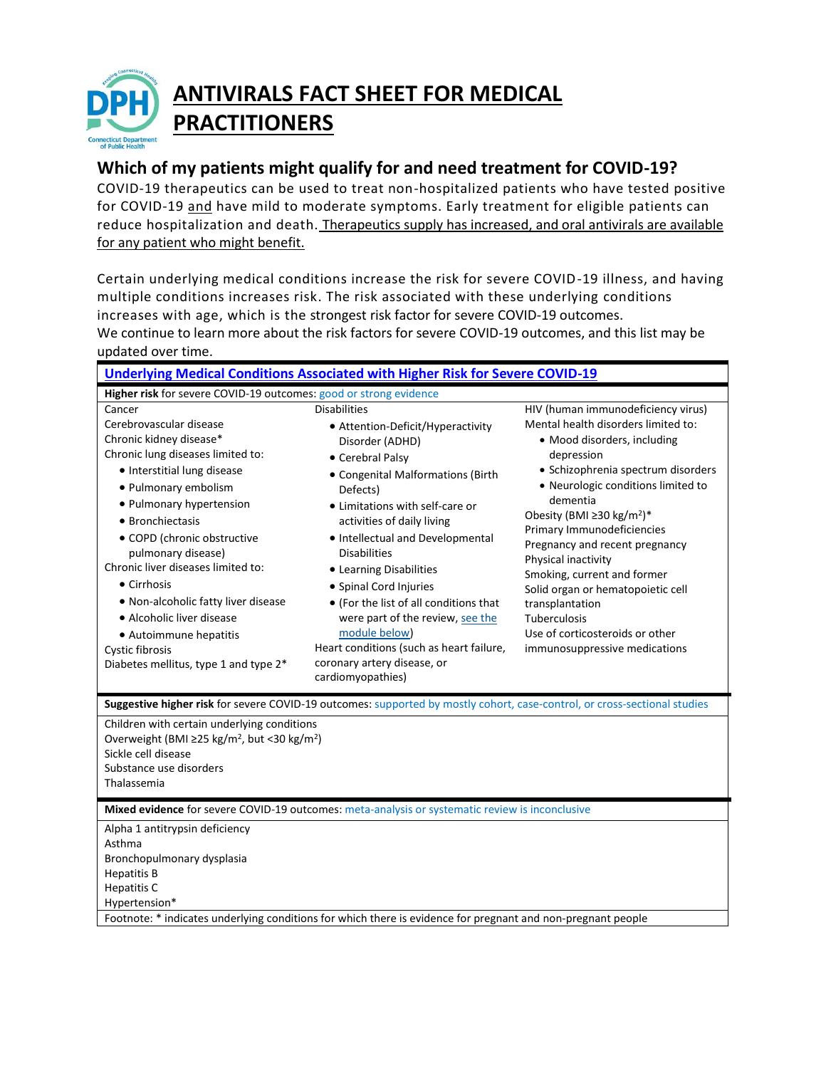

# **ANTIVIRALS FACT SHEET FOR MEDICAL PRACTITIONERS**

# **Which of my patients might qualify for and need treatment for COVID-19?**

COVID-19 therapeutics can be used to treat non-hospitalized patients who have tested positive for COVID-19 and have mild to moderate symptoms. Early treatment for eligible patients can reduce hospitalization and death. Therapeutics supply has increased, and oral antivirals are available for any patient who might benefit.

Certain underlying medical conditions increase the risk for severe COVID-19 illness, and having multiple conditions increases risk. The risk associated with these underlying conditions increases with age, which is the strongest risk factor for severe COVID-19 outcomes. We continue to learn more about the risk factors for severe COVID-19 outcomes, and this list may be updated over time.

| Underlying Medical Conditions Associated with Higher Risk for Severe COVID-19                                                                                                                                                                                                                                                                                                                                                                                                |                                                                                                                                                                                                                                                                                                                                                                                                                                                                                                                                  |                                                                                                                                                                                                                                                                                                                                                                                                                                                                                                                           |
|------------------------------------------------------------------------------------------------------------------------------------------------------------------------------------------------------------------------------------------------------------------------------------------------------------------------------------------------------------------------------------------------------------------------------------------------------------------------------|----------------------------------------------------------------------------------------------------------------------------------------------------------------------------------------------------------------------------------------------------------------------------------------------------------------------------------------------------------------------------------------------------------------------------------------------------------------------------------------------------------------------------------|---------------------------------------------------------------------------------------------------------------------------------------------------------------------------------------------------------------------------------------------------------------------------------------------------------------------------------------------------------------------------------------------------------------------------------------------------------------------------------------------------------------------------|
| Higher risk for severe COVID-19 outcomes: good or strong evidence                                                                                                                                                                                                                                                                                                                                                                                                            |                                                                                                                                                                                                                                                                                                                                                                                                                                                                                                                                  |                                                                                                                                                                                                                                                                                                                                                                                                                                                                                                                           |
| Cancer<br>Cerebrovascular disease<br>Chronic kidney disease*<br>Chronic lung diseases limited to:<br>· Interstitial lung disease<br>• Pulmonary embolism<br>• Pulmonary hypertension<br>• Bronchiectasis<br>• COPD (chronic obstructive<br>pulmonary disease)<br>Chronic liver diseases limited to:<br>• Cirrhosis<br>• Non-alcoholic fatty liver disease<br>• Alcoholic liver disease<br>• Autoimmune hepatitis<br>Cystic fibrosis<br>Diabetes mellitus, type 1 and type 2* | <b>Disabilities</b><br>• Attention-Deficit/Hyperactivity<br>Disorder (ADHD)<br>• Cerebral Palsy<br>• Congenital Malformations (Birth<br>Defects)<br>• Limitations with self-care or<br>activities of daily living<br>• Intellectual and Developmental<br><b>Disabilities</b><br>• Learning Disabilities<br>• Spinal Cord Injuries<br>• (For the list of all conditions that<br>were part of the review, see the<br>module below)<br>Heart conditions (such as heart failure,<br>coronary artery disease, or<br>cardiomyopathies) | HIV (human immunodeficiency virus)<br>Mental health disorders limited to:<br>· Mood disorders, including<br>depression<br>· Schizophrenia spectrum disorders<br>• Neurologic conditions limited to<br>dementia<br>Obesity (BMI ≥30 kg/m <sup>2</sup> )*<br>Primary Immunodeficiencies<br>Pregnancy and recent pregnancy<br>Physical inactivity<br>Smoking, current and former<br>Solid organ or hematopoietic cell<br>transplantation<br>Tuberculosis<br>Use of corticosteroids or other<br>immunosuppressive medications |
| Suggestive higher risk for severe COVID-19 outcomes: supported by mostly cohort, case-control, or cross-sectional studies                                                                                                                                                                                                                                                                                                                                                    |                                                                                                                                                                                                                                                                                                                                                                                                                                                                                                                                  |                                                                                                                                                                                                                                                                                                                                                                                                                                                                                                                           |
| Children with certain underlying conditions<br>Overweight (BMI ≥25 kg/m <sup>2</sup> , but <30 kg/m <sup>2</sup> )<br>Sickle cell disease<br>Substance use disorders<br>Thalassemia                                                                                                                                                                                                                                                                                          |                                                                                                                                                                                                                                                                                                                                                                                                                                                                                                                                  |                                                                                                                                                                                                                                                                                                                                                                                                                                                                                                                           |
| Mixed evidence for severe COVID-19 outcomes: meta-analysis or systematic review is inconclusive                                                                                                                                                                                                                                                                                                                                                                              |                                                                                                                                                                                                                                                                                                                                                                                                                                                                                                                                  |                                                                                                                                                                                                                                                                                                                                                                                                                                                                                                                           |
| Alpha 1 antitrypsin deficiency<br>Asthma<br>Bronchopulmonary dysplasia<br><b>Hepatitis B</b><br><b>Hepatitis C</b><br>Hypertension*<br>Footnote: * indicates underlying conditions for which there is evidence for pregnant and non-pregnant people                                                                                                                                                                                                                          |                                                                                                                                                                                                                                                                                                                                                                                                                                                                                                                                  |                                                                                                                                                                                                                                                                                                                                                                                                                                                                                                                           |
|                                                                                                                                                                                                                                                                                                                                                                                                                                                                              |                                                                                                                                                                                                                                                                                                                                                                                                                                                                                                                                  |                                                                                                                                                                                                                                                                                                                                                                                                                                                                                                                           |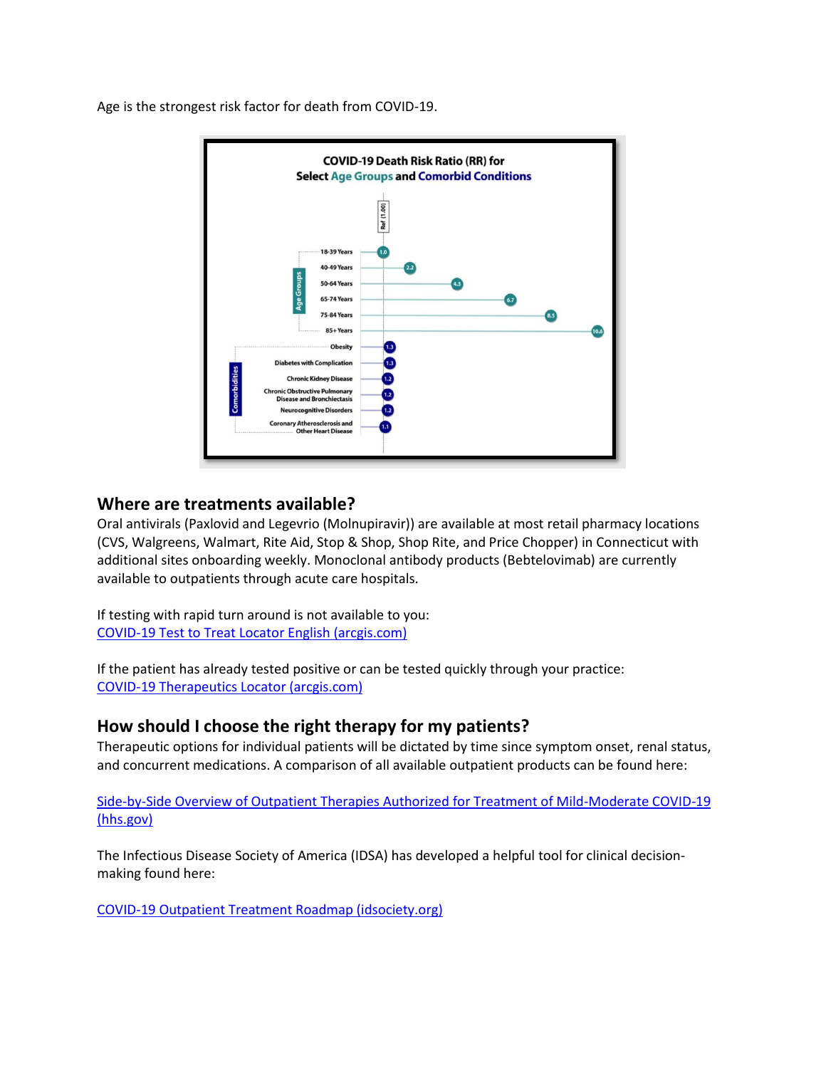

Age is the strongest risk factor for death from COVID-19.

## **Where are treatments available?**

Oral antivirals (Paxlovid and Legevrio (Molnupiravir)) are available at most retail pharmacy locations (CVS, Walgreens, Walmart, Rite Aid, Stop & Shop, Shop Rite, and Price Chopper) in Connecticut with additional sites onboarding weekly. Monoclonal antibody products (Bebtelovimab) are currently available to outpatients through acute care hospitals.

If testing with rapid turn around is not available to you: [COVID-19 Test to Treat Locator English \(arcgis.com\)](https://covid-19-test-to-treat-locator-dhhs.hub.arcgis.com/)

If the patient has already tested positive or can be tested quickly through your practice: [COVID-19 Therapeutics Locator \(arcgis.com\)](https://covid-19-therapeutics-locator-dhhs.hub.arcgis.com/)

# **How should I choose the right therapy for my patients?**

Therapeutic options for individual patients will be dictated by time since symptom onset, renal status, and concurrent medications. A comparison of all available outpatient products can be found here:

[Side-by-Side Overview of Outpatient Therapies Authorized for Treatment of Mild-Moderate COVID-19](https://aspr.hhs.gov/COVID-19/Therapeutics/Documents/side-by-side-overview.pdf)  [\(hhs.gov\)](https://aspr.hhs.gov/COVID-19/Therapeutics/Documents/side-by-side-overview.pdf)

The Infectious Disease Society of America (IDSA) has developed a helpful tool for clinical decisionmaking found here:

COVID-19 Outpatient [Treatment Roadmap \(idsociety.org\)](https://www.idsociety.org/globalassets/covid-19-real-time-learning-network/outpatientroadmap-v10.pdf)